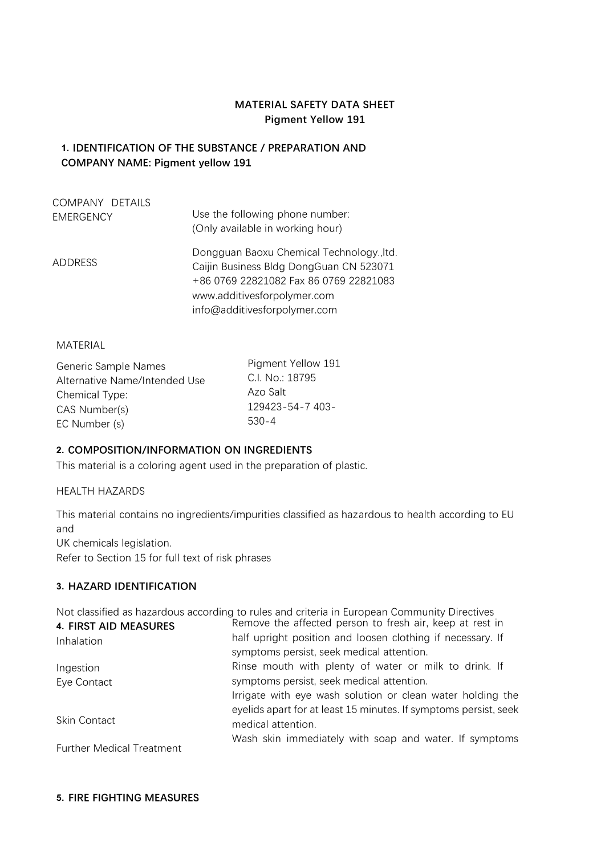# **MATERIAL SAFETY DATA SHEET Pigment Yellow 191**

# **1. IDENTIFICATION OF THE SUBSTANCE / PREPARATION AND COMPANY NAME: Pigment yellow 191**

| COMPANY DETAILS  | Use the following phone number:                                                                                                                                                               |
|------------------|-----------------------------------------------------------------------------------------------------------------------------------------------------------------------------------------------|
| <b>EMERGENCY</b> | (Only available in working hour)                                                                                                                                                              |
| ADDRESS          | Dongguan Baoxu Chemical Technology., Itd.<br>Caijin Business Bldg DongGuan CN 523071<br>+86 0769 22821082 Fax 86 0769 22821083<br>www.additivesforpolymer.com<br>info@additivesforpolymer.com |

### MATERIAL

Generic Sample Names Alternative Name/Intended Use Chemical Type: CAS Number(s) EC Number (s)

Pigment Yellow 191 C.I. No.: 18795 Azo Salt 129423-54-7 403- 530-4

## **2. COMPOSITION/INFORMATION ON INGREDIENTS**

This material is a coloring agent used in the preparation of plastic.

### HEALTH HAZARDS

This material contains no ingredients/impurities classified as hazardous to health according to EU and

UK chemicals legislation.

Refer to Section 15 for full text of risk phrases

## **3. HAZARD IDENTIFICATION**

Not classified as hazardous according to rules and criteria in European Community Directives

| <b>4. FIRST AID MEASURES</b>     | Remove the affected person to fresh air, keep at rest in         |
|----------------------------------|------------------------------------------------------------------|
| Inhalation                       | half upright position and loosen clothing if necessary. If       |
|                                  | symptoms persist, seek medical attention.                        |
| Ingestion                        | Rinse mouth with plenty of water or milk to drink. If            |
| Eye Contact                      | symptoms persist, seek medical attention.                        |
|                                  | Irrigate with eye wash solution or clean water holding the       |
|                                  | eyelids apart for at least 15 minutes. If symptoms persist, seek |
| Skin Contact                     | medical attention.                                               |
|                                  | Wash skin immediately with soap and water. If symptoms           |
| <b>Further Medical Treatment</b> |                                                                  |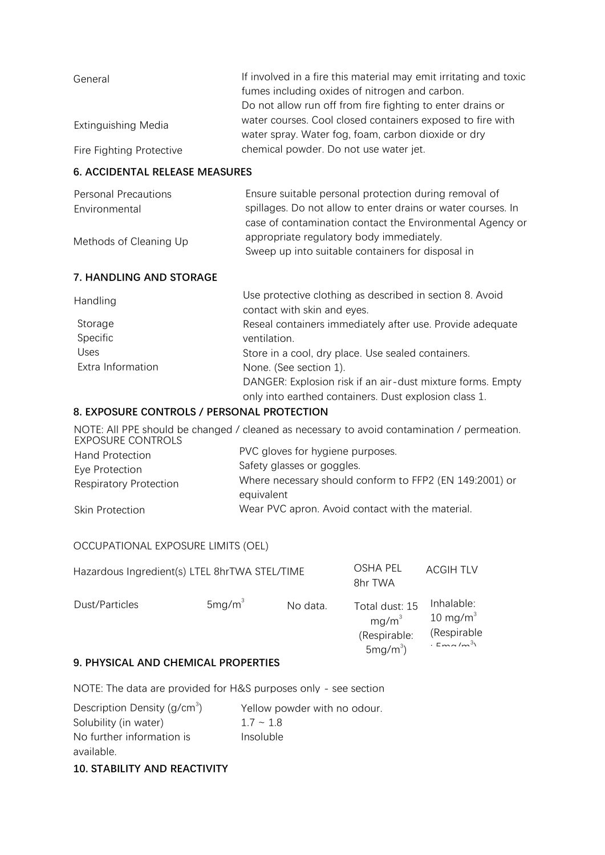| General                    | If involved in a fire this material may emit irritating and toxic |
|----------------------------|-------------------------------------------------------------------|
|                            | fumes including oxides of nitrogen and carbon.                    |
|                            | Do not allow run off from fire fighting to enter drains or        |
| <b>Extinguishing Media</b> | water courses. Cool closed containers exposed to fire with        |
|                            | water spray. Water fog, foam, carbon dioxide or dry               |
| Fire Fighting Protective   | chemical powder. Do not use water jet.                            |

### **6. ACCIDENTAL RELEASE MEASURES**  $\mathbf{f}$  should wear breathing apparatus for large fires.

| Personal Precautions<br>Environmental | Ensure suitable personal protection during removal of<br>spillages. Do not allow to enter drains or water courses. In<br>case of contamination contact the Environmental Agency or |
|---------------------------------------|------------------------------------------------------------------------------------------------------------------------------------------------------------------------------------|
| Methods of Cleaning Up                | appropriate regulatory body immediately.<br>Sweep up into suitable containers for disposal in                                                                                      |
| 7. HANDLING AND STORAGE               |                                                                                                                                                                                    |
| Handling                              | Use protective clothing as described in section 8. Avoid<br>contact with skin and eyes.                                                                                            |
| Storage                               | Reseal containers immediately after use. Provide adequate                                                                                                                          |
| Specific                              | ventilation.                                                                                                                                                                       |
| Uses                                  | Store in a cool, dry place. Use sealed containers.                                                                                                                                 |
| Extra Information                     | None. (See section 1).                                                                                                                                                             |
|                                       | DANGER: Explosion risk if an air-dust mixture forms. Empty<br>only into earthed containers. Dust explosion class 1.                                                                |

## **8. EXPOSURE CONTROLS / PERSONAL PROTECTION**

NOTE: All PPE should be changed / cleaned as necessary to avoid contamination / permeation. EXPOSURE CONTROLS Hand Protection Eye Protection Respiratory Protection Skin Protection PVC gloves for hygiene purposes. Safety glasses or goggles. Where necessary should conform to FFP2 (EN 149:2001) or equivalent Wear PVC apron. Avoid contact with the material.

# OCCUPATIONAL EXPOSURE LIMITS (OEL)

| Hazardous Ingredient(s) LTEL 8hrTWA STEL/TIME |                    |          | OSHA PEL<br>8hr TWA                                                | <b>ACGIH TLV</b>                                                   |
|-----------------------------------------------|--------------------|----------|--------------------------------------------------------------------|--------------------------------------------------------------------|
| Dust/Particles                                | 5mg/m <sup>3</sup> | No data. | Total dust: 15<br>mq/m <sup>3</sup><br>(Respirable:<br>$5mg/m^3$ ) | Inhalable:<br>$10 \text{ mg/m}^3$<br>(Respirable<br>$E = 2\pi r^3$ |
|                                               |                    |          |                                                                    |                                                                    |

## **9. PHYSICAL AND CHEMICAL PROPERTIES**

NOTE: The data are provided for H&S purposes only - see section

| Description Density ( $g/cm3$ ) | Yellow powder with no odour. |
|---------------------------------|------------------------------|
| Solubility (in water)           | $17 - 18$                    |
| No further information is       | Insoluble                    |
| available.                      |                              |
|                                 |                              |

**10. STABILITY AND REACTIVITY**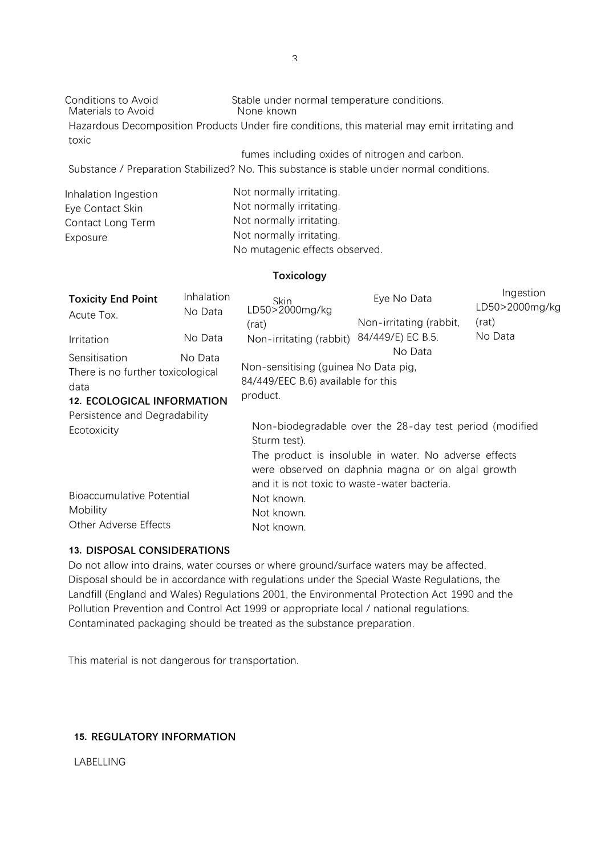Materials to Avoid

Conditions to Avoid Stable under normal temperature conditions.<br>
Materials to Avoid None known

Hazardous Decomposition Products Under fire conditions, this material may emit irritating and toxic

fumes including oxides of nitrogen and carbon.

Substance / Preparation Stabilized? No. This substance is stable under normal conditions.

| Inhalation Ingestion | Not normally irritating.       |
|----------------------|--------------------------------|
| Eye Contact Skin     | Not normally irritating.       |
| Contact Long Term    | Not normally irritating.       |
| Exposure             | Not normally irritating.       |
|                      | No mutagenic effects observed. |

### **Toxicology**

| <b>Toxicity End Point</b><br>Acute Tox.                                                                    | Inhalation<br>No Data | <b>Skin</b><br>LD50>2000mg/kg<br>(rat)                                                                                                                                                                                                | Eye No Data<br>Non-irritating (rabbit, | Ingestion<br>LD50>2000mg/kg<br>(rat) |
|------------------------------------------------------------------------------------------------------------|-----------------------|---------------------------------------------------------------------------------------------------------------------------------------------------------------------------------------------------------------------------------------|----------------------------------------|--------------------------------------|
| Irritation                                                                                                 | No Data               | Non-irritating (rabbit)                                                                                                                                                                                                               | 84/449/E) EC B.5.                      | No Data                              |
| Sensitisation<br>No Data<br>There is no further toxicological<br>data<br><b>12. ECOLOGICAL INFORMATION</b> |                       | Non-sensitising (guinea No Data pig,<br>84/449/EEC B.6) available for this<br>product.                                                                                                                                                | No Data                                |                                      |
| Persistence and Degradability<br>Ecotoxicity                                                               |                       | Non-biodegradable over the 28-day test period (modified<br>Sturm test).<br>The product is insoluble in water. No adverse effects<br>were observed on daphnia magna or on algal growth<br>and it is not toxic to waste-water bacteria. |                                        |                                      |
| Bioaccumulative Potential<br>Mobility<br><b>Other Adverse Effects</b>                                      |                       | Not known.<br>Not known.<br>Not known.                                                                                                                                                                                                |                                        |                                      |

## **13. DISPOSAL CONSIDERATIONS**

Do not allow into drains, water courses or where ground/surface waters may be affected. Disposal should be in accordance with regulations under the Special Waste Regulations, the Landfill (England and Wales) Regulations 2001, the Environmental Protection Act 1990 and the Pollution Prevention and Control Act 1999 or appropriate local / national regulations. Contaminated packaging should be treated as the substance preparation.

This material is not dangerous for transportation.

# **15. REGULATORY INFORMATION**

LABELLING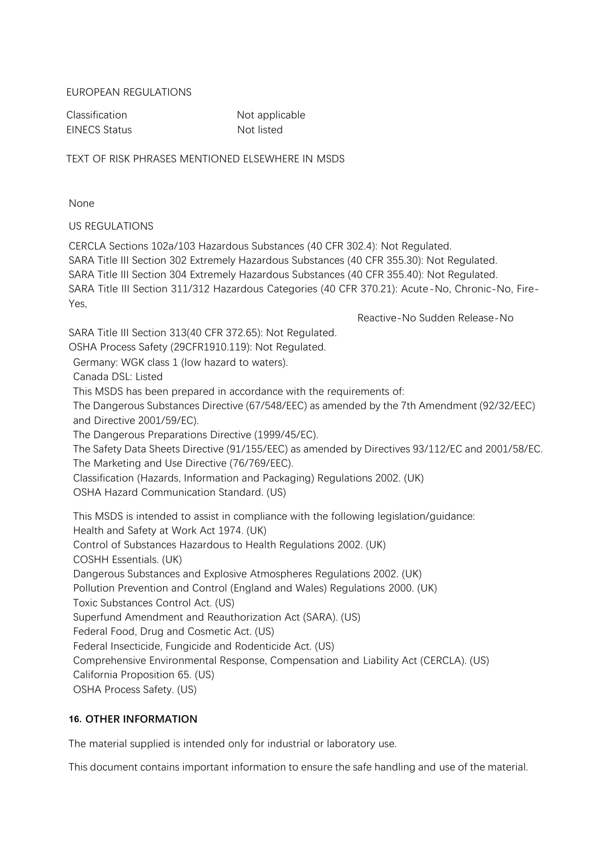## EUROPEAN REGULATIONS

EINECS Status Not listed

Classification Not applicable

TEXT OF RISK PHRASES MENTIONED ELSEWHERE IN MSDS

None

US REGULATIONS

CERCLA Sections 102a/103 Hazardous Substances (40 CFR 302.4): Not Regulated. SARA Title III Section 302 Extremely Hazardous Substances (40 CFR 355.30): Not Regulated. SARA Title III Section 304 Extremely Hazardous Substances (40 CFR 355.40): Not Regulated. SARA Title III Section 311/312 Hazardous Categories (40 CFR 370.21): Acute-No, Chronic-No, Fire-Yes,

Reactive-No Sudden Release-No

SARA Title III Section 313(40 CFR 372.65): Not Regulated. OSHA Process Safety (29CFR1910.119): Not Regulated. Germany: WGK class 1 (low hazard to waters). This MSDS has been prepared in accordance with the requirements of: Canada DSL: Listed The Dangerous Substances Directive (67/548/EEC) as amended by the 7th Amendment (92/32/EEC) and Directive 2001/59/EC). The Dangerous Preparations Directive (1999/45/EC). The Safety Data Sheets Directive (91/155/EEC) as amended by Directives 93/112/EC and 2001/58/EC. The Marketing and Use Directive (76/769/EEC). Classification (Hazards, Information and Packaging) Regulations 2002. (UK) OSHA Hazard Communication Standard. (US) This MSDS is intended to assist in compliance with the following legislation/guidance: Health and Safety at Work Act 1974. (UK) Control of Substances Hazardous to Health Regulations 2002. (UK) COSHH Essentials. (UK) Dangerous Substances and Explosive Atmospheres Regulations 2002. (UK)

Pollution Prevention and Control (England and Wales) Regulations 2000. (UK)

Toxic Substances Control Act. (US)

Superfund Amendment and Reauthorization Act (SARA). (US)

Federal Food, Drug and Cosmetic Act. (US)

Federal Insecticide, Fungicide and Rodenticide Act. (US)

Comprehensive Environmental Response, Compensation and Liability Act (CERCLA). (US)

California Proposition 65. (US)

OSHA Process Safety. (US)

# **16. OTHER INFORMATION**

The material supplied is intended only for industrial or laboratory use.

This document contains important information to ensure the safe handling and use of the material.